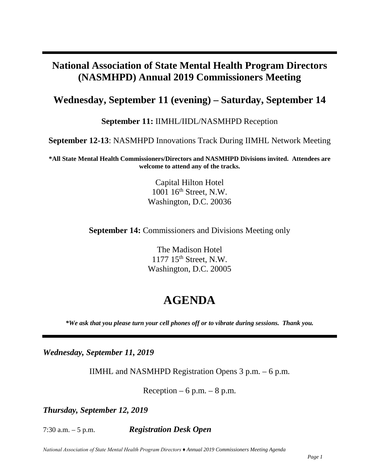## **National Association of State Mental Health Program Directors (NASMHPD) Annual 2019 Commissioners Meeting**

### **Wednesday, September 11 (evening) – Saturday, September 14**

**September 11:** IIMHL/IIDL/NASMHPD Reception

**September 12-13**: NASMHPD Innovations Track During IIMHL Network Meeting

**\*All State Mental Health Commissioners/Directors and NASMHPD Divisions invited. Attendees are welcome to attend any of the tracks.** 

> Capital Hilton Hotel 1001 16<sup>th</sup> Street, N.W. Washington, D.C. 20036

**September 14:** Commissioners and Divisions Meeting only

The Madison Hotel 1177 15th Street, N.W. Washington, D.C. 20005

# **AGENDA**

*\*We ask that you please turn your cell phones off or to vibrate during sessions. Thank you.* 

*Wednesday, September 11, 2019*

IIMHL and NASMHPD Registration Opens 3 p.m. – 6 p.m.

Reception – 6 p.m. – 8 p.m.

*Thursday, September 12, 2019*

7:30 a.m. – 5 p.m. *Registration Desk Open*

*National Association of State Mental Health Program Directors ♦ Annual 2019 Commissioners Meeting Agenda*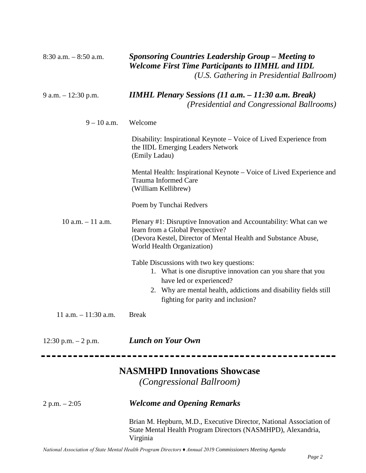| $8:30$ a.m. $-8:50$ a.m. | <b>Sponsoring Countries Leadership Group - Meeting to</b><br><b>Welcome First Time Participants to IIMHL and IIDL</b><br>(U.S. Gathering in Presidential Ballroom)                                       |
|--------------------------|----------------------------------------------------------------------------------------------------------------------------------------------------------------------------------------------------------|
| 9 a.m. $-12:30$ p.m.     | <b>IIMHL Plenary Sessions (11 a.m. <math>-</math> 11:30 a.m. Break)</b><br><i>(Presidential and Congressional Ballrooms)</i>                                                                             |
| $9 - 10$ a.m.            | Welcome                                                                                                                                                                                                  |
|                          | Disability: Inspirational Keynote – Voice of Lived Experience from<br>the IIDL Emerging Leaders Network<br>(Emily Ladau)                                                                                 |
|                          | Mental Health: Inspirational Keynote – Voice of Lived Experience and<br><b>Trauma Informed Care</b><br>(William Kellibrew)                                                                               |
|                          | Poem by Tunchai Redvers                                                                                                                                                                                  |
| $10$ a.m. $-11$ a.m.     | Plenary #1: Disruptive Innovation and Accountability: What can we<br>learn from a Global Perspective?<br>(Devora Kestel, Director of Mental Health and Substance Abuse,<br>World Health Organization)    |
|                          | Table Discussions with two key questions:<br>1. What is one disruptive innovation can you share that you<br>have led or experienced?<br>2. Why are mental health, addictions and disability fields still |
|                          | fighting for parity and inclusion?                                                                                                                                                                       |
| 11 a.m. $-11:30$ a.m.    | <b>Break</b>                                                                                                                                                                                             |
| $12:30$ p.m. $-2$ p.m.   | <b>Lunch on Your Own</b>                                                                                                                                                                                 |
|                          | <b>NASMHPD Innovations Showcase</b>                                                                                                                                                                      |
|                          | <i>(Congressional Ballroom)</i>                                                                                                                                                                          |
| $2 p.m. - 2:05$          | <b>Welcome and Opening Remarks</b>                                                                                                                                                                       |
|                          | Brian M. Hepburn, M.D., Executive Director, National Association of<br>State Mental Health Program Directors (NASMHPD), Alexandria,<br>Virginia                                                          |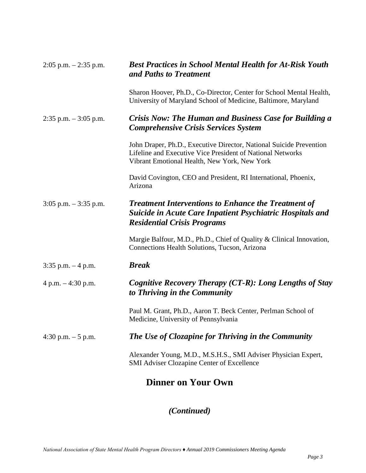| $2:05$ p.m. $-2:35$ p.m. | <b>Best Practices in School Mental Health for At-Risk Youth</b><br>and Paths to Treatment                                                                                         |
|--------------------------|-----------------------------------------------------------------------------------------------------------------------------------------------------------------------------------|
|                          | Sharon Hoover, Ph.D., Co-Director, Center for School Mental Health,<br>University of Maryland School of Medicine, Baltimore, Maryland                                             |
| $2:35$ p.m. $-3:05$ p.m. | <b>Crisis Now: The Human and Business Case for Building a</b><br><b>Comprehensive Crisis Services System</b>                                                                      |
|                          | John Draper, Ph.D., Executive Director, National Suicide Prevention<br>Lifeline and Executive Vice President of National Networks<br>Vibrant Emotional Health, New York, New York |
|                          | David Covington, CEO and President, RI International, Phoenix,<br>Arizona                                                                                                         |
| $3:05$ p.m. $-3:35$ p.m. | <b>Treatment Interventions to Enhance the Treatment of</b><br><b>Suicide in Acute Care Inpatient Psychiatric Hospitals and</b><br><b>Residential Crisis Programs</b>              |
|                          | Margie Balfour, M.D., Ph.D., Chief of Quality & Clinical Innovation,<br>Connections Health Solutions, Tucson, Arizona                                                             |
| $3:35$ p.m. $-4$ p.m.    | <b>Break</b>                                                                                                                                                                      |
| 4 p.m. $-4:30$ p.m.      | Cognitive Recovery Therapy (CT-R): Long Lengths of Stay<br>to Thriving in the Community                                                                                           |
|                          | Paul M. Grant, Ph.D., Aaron T. Beck Center, Perlman School of<br>Medicine, University of Pennsylvania                                                                             |
| 4:30 p.m. $-5$ p.m.      | The Use of Clozapine for Thriving in the Community                                                                                                                                |
|                          | Alexander Young, M.D., M.S.H.S., SMI Adviser Physician Expert,<br><b>SMI Adviser Clozapine Center of Excellence</b>                                                               |
|                          | <b>Dinner on Your Own</b>                                                                                                                                                         |

## *(Continued)*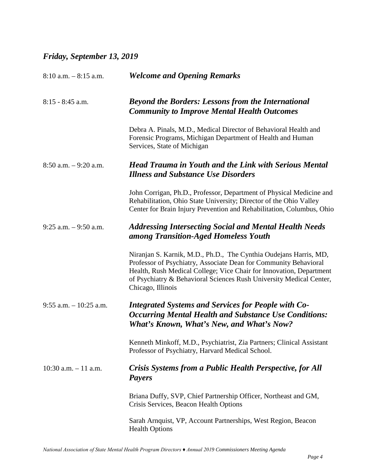### *Friday, September 13, 2019*

| $8:10$ a.m. $-8:15$ a.m.  | <b>Welcome and Opening Remarks</b>                                                                                                                                                                                                                                                                       |
|---------------------------|----------------------------------------------------------------------------------------------------------------------------------------------------------------------------------------------------------------------------------------------------------------------------------------------------------|
| $8:15 - 8:45$ a.m.        | <b>Beyond the Borders: Lessons from the International</b><br><b>Community to Improve Mental Health Outcomes</b>                                                                                                                                                                                          |
|                           | Debra A. Pinals, M.D., Medical Director of Behavioral Health and<br>Forensic Programs, Michigan Department of Health and Human<br>Services, State of Michigan                                                                                                                                            |
| $8:50$ a.m. $-9:20$ a.m.  | <b>Head Trauma in Youth and the Link with Serious Mental</b><br><b>Illness and Substance Use Disorders</b>                                                                                                                                                                                               |
|                           | John Corrigan, Ph.D., Professor, Department of Physical Medicine and<br>Rehabilitation, Ohio State University; Director of the Ohio Valley<br>Center for Brain Injury Prevention and Rehabilitation, Columbus, Ohio                                                                                      |
| $9:25$ a.m. $-9:50$ a.m.  | <b>Addressing Intersecting Social and Mental Health Needs</b><br>among Transition-Aged Homeless Youth                                                                                                                                                                                                    |
|                           | Niranjan S. Karnik, M.D., Ph.D., The Cynthia Oudejans Harris, MD,<br>Professor of Psychiatry, Associate Dean for Community Behavioral<br>Health, Rush Medical College; Vice Chair for Innovation, Department<br>of Psychiatry & Behavioral Sciences Rush University Medical Center,<br>Chicago, Illinois |
| $9:55$ a.m. $-10:25$ a.m. | <b>Integrated Systems and Services for People with Co-</b><br><b>Occurring Mental Health and Substance Use Conditions:</b><br><b>What's Known, What's New, and What's Now?</b>                                                                                                                           |
|                           | Kenneth Minkoff, M.D., Psychiatrist, Zia Partners; Clinical Assistant<br>Professor of Psychiatry, Harvard Medical School.                                                                                                                                                                                |
| $10:30$ a.m. $-11$ a.m.   | Crisis Systems from a Public Health Perspective, for All<br><b>Payers</b>                                                                                                                                                                                                                                |
|                           | Briana Duffy, SVP, Chief Partnership Officer, Northeast and GM,<br>Crisis Services, Beacon Health Options                                                                                                                                                                                                |
|                           | Sarah Arnquist, VP, Account Partnerships, West Region, Beacon<br><b>Health Options</b>                                                                                                                                                                                                                   |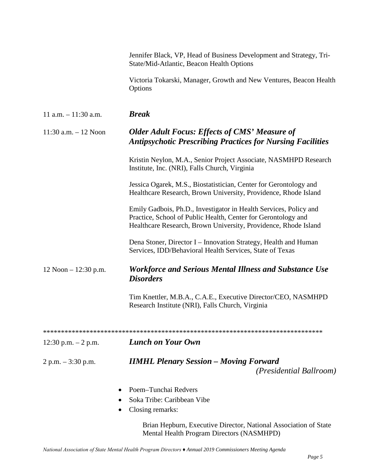|                          | Jennifer Black, VP, Head of Business Development and Strategy, Tri-<br>State/Mid-Atlantic, Beacon Health Options                                                                                      |
|--------------------------|-------------------------------------------------------------------------------------------------------------------------------------------------------------------------------------------------------|
|                          | Victoria Tokarski, Manager, Growth and New Ventures, Beacon Health<br>Options                                                                                                                         |
| $11$ a.m. $-11:30$ a.m.  | <b>Break</b>                                                                                                                                                                                          |
| $11:30$ a.m. $-12$ Noon  | <b>Older Adult Focus: Effects of CMS' Measure of</b><br><b>Antipsychotic Prescribing Practices for Nursing Facilities</b>                                                                             |
|                          | Kristin Neylon, M.A., Senior Project Associate, NASMHPD Research<br>Institute, Inc. (NRI), Falls Church, Virginia                                                                                     |
|                          | Jessica Ogarek, M.S., Biostatistician, Center for Gerontology and<br>Healthcare Research, Brown University, Providence, Rhode Island                                                                  |
|                          | Emily Gadbois, Ph.D., Investigator in Health Services, Policy and<br>Practice, School of Public Health, Center for Gerontology and<br>Healthcare Research, Brown University, Providence, Rhode Island |
|                          | Dena Stoner, Director I – Innovation Strategy, Health and Human<br>Services, IDD/Behavioral Health Services, State of Texas                                                                           |
| $12$ Noon $- 12:30$ p.m. | <b>Workforce and Serious Mental Illness and Substance Use</b><br><b>Disorders</b>                                                                                                                     |
|                          | Tim Knettler, M.B.A., C.A.E., Executive Director/CEO, NASMHPD<br>Research Institute (NRI), Falls Church, Virginia                                                                                     |
|                          |                                                                                                                                                                                                       |
| 12:30 p.m. $-2$ p.m.     | <b>Lunch on Your Own</b>                                                                                                                                                                              |
| $2 p.m. - 3:30 p.m.$     | <b>IIMHL Plenary Session - Moving Forward</b><br><i>(Presidential Ballroom)</i>                                                                                                                       |
|                          | Poem-Tunchai Redvers                                                                                                                                                                                  |
|                          | Soka Tribe: Caribbean Vibe                                                                                                                                                                            |
|                          | Closing remarks:                                                                                                                                                                                      |
|                          | Brian Hepburn, Executive Director, National Association of State<br>Mental Health Program Directors (NASMHPD)                                                                                         |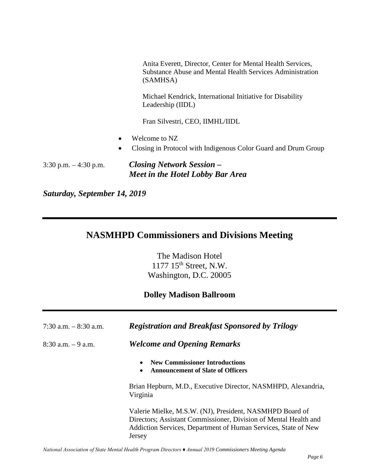Anita Everett, Director, Center for Mental Health Services, Substance Abuse and Mental Health Services Administration (SAMHSA)

Michael Kendrick, International Initiative for Disability Leadership (IIDL)

Fran Silvestri, CEO, IIMHL/IIDL

- Welcome to NZ
- Closing in Protocol with Indigenous Color Guard and Drum Group

3:30 p.m. – 4:30 p.m. *Closing Network Session – Meet in the Hotel Lobby Bar Area*

*Saturday, September 14, 2019* 

### **NASMHPD Commissioners and Divisions Meeting**

The Madison Hotel 1177 15th Street, N.W. Washington, D.C. 20005

#### **Dolley Madison Ballroom**

| 7:30 a.m. $-$ 8:30 a.m. | <b>Registration and Breakfast Sponsored by Trilogy</b>                                                                                                                                                   |
|-------------------------|----------------------------------------------------------------------------------------------------------------------------------------------------------------------------------------------------------|
| $8:30$ a.m. $-9$ a.m.   | <b>Welcome and Opening Remarks</b>                                                                                                                                                                       |
|                         | <b>New Commissioner Introductions</b><br><b>Announcement of Slate of Officers</b><br>$\bullet$                                                                                                           |
|                         | Brian Hepburn, M.D., Executive Director, NASMHPD, Alexandria,<br>Virginia                                                                                                                                |
|                         | Valerie Mielke, M.S.W. (NJ), President, NASMHPD Board of<br>Directors; Assistant Commissioner, Division of Mental Health and<br>Addiction Services, Department of Human Services, State of New<br>Jersey |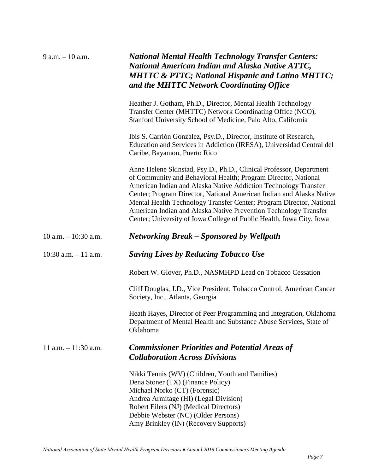| $9$ a.m. $-10$ a.m.      | <b>National Mental Health Technology Transfer Centers:</b><br>National American Indian and Alaska Native ATTC,<br><b>MHTTC &amp; PTTC; National Hispanic and Latino MHTTC;</b><br>and the MHTTC Network Coordinating Office                                                                                                                                                                                                                                                                          |
|--------------------------|------------------------------------------------------------------------------------------------------------------------------------------------------------------------------------------------------------------------------------------------------------------------------------------------------------------------------------------------------------------------------------------------------------------------------------------------------------------------------------------------------|
|                          | Heather J. Gotham, Ph.D., Director, Mental Health Technology<br>Transfer Center (MHTTC) Network Coordinating Office (NCO),<br>Stanford University School of Medicine, Palo Alto, California                                                                                                                                                                                                                                                                                                          |
|                          | Ibis S. Carrión González, Psy.D., Director, Institute of Research,<br>Education and Services in Addiction (IRESA), Universidad Central del<br>Caribe, Bayamon, Puerto Rico                                                                                                                                                                                                                                                                                                                           |
|                          | Anne Helene Skinstad, Psy.D., Ph.D., Clinical Professor, Department<br>of Community and Behavioral Health; Program Director, National<br>American Indian and Alaska Native Addiction Technology Transfer<br>Center; Program Director, National American Indian and Alaska Native<br>Mental Health Technology Transfer Center; Program Director, National<br>American Indian and Alaska Native Prevention Technology Transfer<br>Center; University of Iowa College of Public Health, Iowa City, Iowa |
| $10$ a.m. $- 10:30$ a.m. | <b>Networking Break - Sponsored by Wellpath</b>                                                                                                                                                                                                                                                                                                                                                                                                                                                      |
| $10:30$ a.m. $-11$ a.m.  | <b>Saving Lives by Reducing Tobacco Use</b>                                                                                                                                                                                                                                                                                                                                                                                                                                                          |
|                          | Robert W. Glover, Ph.D., NASMHPD Lead on Tobacco Cessation                                                                                                                                                                                                                                                                                                                                                                                                                                           |
|                          | Cliff Douglas, J.D., Vice President, Tobacco Control, American Cancer<br>Society, Inc., Atlanta, Georgia                                                                                                                                                                                                                                                                                                                                                                                             |
|                          | Heath Hayes, Director of Peer Programming and Integration, Oklahoma<br>Department of Mental Health and Substance Abuse Services, State of<br><b>Oklahoma</b>                                                                                                                                                                                                                                                                                                                                         |
| $11$ a.m. $-11:30$ a.m.  | <b>Commissioner Priorities and Potential Areas of</b><br><b>Collaboration Across Divisions</b>                                                                                                                                                                                                                                                                                                                                                                                                       |
|                          | Nikki Tennis (WV) (Children, Youth and Families)<br>Dena Stoner (TX) (Finance Policy)<br>Michael Norko (CT) (Forensic)<br>Andrea Armitage (HI) (Legal Division)<br>Robert Eilers (NJ) (Medical Directors)<br>Debbie Webster (NC) (Older Persons)<br>Amy Brinkley (IN) (Recovery Supports)                                                                                                                                                                                                            |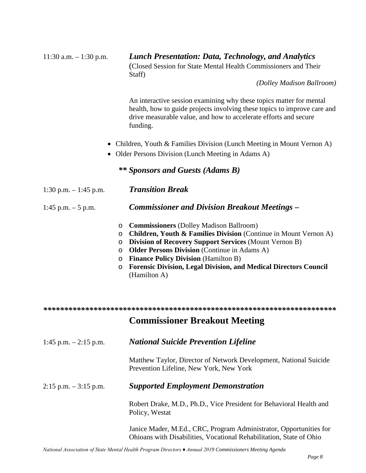| $11:30$ a.m. $-1:30$ p.m. | <b>Lunch Presentation: Data, Technology, and Analytics</b><br>(Closed Session for State Mental Health Commissioners and Their<br>Staff)                                                                                                                                                                                                                                                                                                               |
|---------------------------|-------------------------------------------------------------------------------------------------------------------------------------------------------------------------------------------------------------------------------------------------------------------------------------------------------------------------------------------------------------------------------------------------------------------------------------------------------|
|                           | (Dolley Madison Ballroom)                                                                                                                                                                                                                                                                                                                                                                                                                             |
|                           | An interactive session examining why these topics matter for mental<br>health, how to guide projects involving these topics to improve care and<br>drive measurable value, and how to accelerate efforts and secure<br>funding.                                                                                                                                                                                                                       |
|                           | Children, Youth & Families Division (Lunch Meeting in Mount Vernon A)<br>Older Persons Division (Lunch Meeting in Adams A)                                                                                                                                                                                                                                                                                                                            |
|                           | ** Sponsors and Guests (Adams B)                                                                                                                                                                                                                                                                                                                                                                                                                      |
| 1:30 p.m. $-1:45$ p.m.    | <b>Transition Break</b>                                                                                                                                                                                                                                                                                                                                                                                                                               |
| 1:45 p.m. $-5$ p.m.       | <b>Commissioner and Division Breakout Meetings –</b>                                                                                                                                                                                                                                                                                                                                                                                                  |
|                           | <b>Commissioners</b> (Dolley Madison Ballroom)<br>$\circ$<br><b>Children, Youth &amp; Families Division</b> (Continue in Mount Vernon A)<br>$\circ$<br><b>Division of Recovery Support Services (Mount Vernon B)</b><br>O<br><b>Older Persons Division</b> (Continue in Adams A)<br>$\circ$<br><b>Finance Policy Division (Hamilton B)</b><br>$\circ$<br><b>Forensic Division, Legal Division, and Medical Directors Council</b><br>O<br>(Hamilton A) |
|                           |                                                                                                                                                                                                                                                                                                                                                                                                                                                       |
|                           | <b>Commissioner Breakout Meeting</b>                                                                                                                                                                                                                                                                                                                                                                                                                  |
| $1:45$ p.m. $-2:15$ p.m.  | <b>National Suicide Prevention Lifeline</b>                                                                                                                                                                                                                                                                                                                                                                                                           |
|                           | Matthew Taylor, Director of Network Development, National Suicide<br>Prevention Lifeline, New York, New York                                                                                                                                                                                                                                                                                                                                          |
| $2:15$ p.m. $-3:15$ p.m.  | <b>Supported Employment Demonstration</b>                                                                                                                                                                                                                                                                                                                                                                                                             |
|                           | Robert Drake, M.D., Ph.D., Vice President for Behavioral Health and<br>Policy, Westat                                                                                                                                                                                                                                                                                                                                                                 |
|                           | Janice Mader, M.Ed., CRC, Program Administrator, Opportunities for<br>Ohioans with Disabilities, Vocational Rehabilitation, State of Ohio                                                                                                                                                                                                                                                                                                             |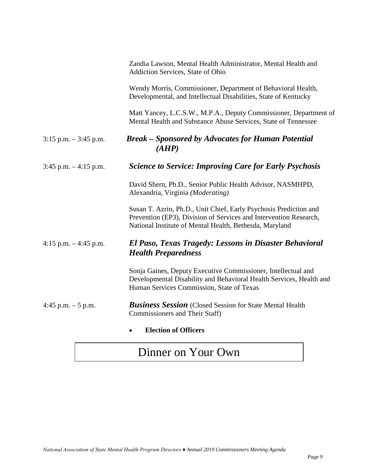|                          | Zandia Lawson, Mental Health Administrator, Mental Health and<br>Addiction Services, State of Ohio                                                                                                |
|--------------------------|---------------------------------------------------------------------------------------------------------------------------------------------------------------------------------------------------|
|                          | Wendy Morris, Commissioner, Department of Behavioral Health,<br>Developmental, and Intellectual Disabilities, State of Kentucky                                                                   |
|                          | Matt Yancey, L.C.S.W., M.P.A., Deputy Commissioner, Department of<br>Mental Health and Substance Abuse Services, State of Tennessee                                                               |
| $3:15$ p.m. $-3:45$ p.m. | <b>Break - Sponsored by Advocates for Human Potential</b><br>(AHP)                                                                                                                                |
| $3:45$ p.m. $-4:15$ p.m. | <b>Science to Service: Improving Care for Early Psychosis</b>                                                                                                                                     |
|                          | David Shern, Ph.D., Senior Public Health Advisor, NASMHPD,<br>Alexandria, Virginia (Moderating)                                                                                                   |
|                          | Susan T. Azrin, Ph.D., Unit Chief, Early Psychosis Prediction and<br>Prevention (EP3), Division of Services and Intervention Research,<br>National Institute of Mental Health, Bethesda, Maryland |
| 4:15 p.m. $-4:45$ p.m.   | El Paso, Texas Tragedy: Lessons in Disaster Behavioral<br><b>Health Preparedness</b>                                                                                                              |
|                          | Sonja Gaines, Deputy Executive Commissioner, Intellectual and<br>Developmental Disability and Behavioral Health Services, Health and<br>Human Services Commission, State of Texas                 |
| 4:45 p.m. $-5$ p.m.      | <b>Business Session</b> (Closed Session for State Mental Health<br>Commissioners and Their Staff)                                                                                                 |
|                          | <b>Election of Officers</b>                                                                                                                                                                       |

# Dinner on Your Own